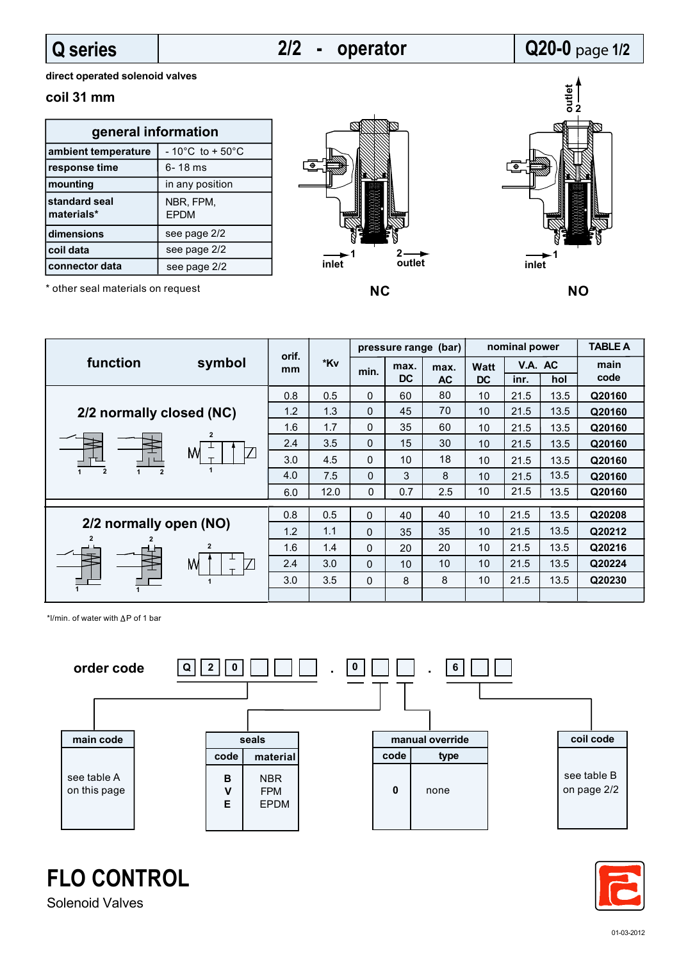### **Q series**

# **2/2 - operator**

## **Q20-0** page **1/2**

**direct operated solenoid valves**

### **coil 31 mm**

| general information         |                                      |  |  |  |  |  |  |  |
|-----------------------------|--------------------------------------|--|--|--|--|--|--|--|
| ambient temperature         | $-10^{\circ}$ C to + 50 $^{\circ}$ C |  |  |  |  |  |  |  |
| response time               | 6-18 ms                              |  |  |  |  |  |  |  |
| mounting                    | in any position                      |  |  |  |  |  |  |  |
| standard seal<br>materials* | NBR, FPM,<br><b>EPDM</b>             |  |  |  |  |  |  |  |
| dimensions                  | see page 2/2                         |  |  |  |  |  |  |  |
| coil data                   | see page 2/2                         |  |  |  |  |  |  |  |
| connector data              | see page 2/2                         |  |  |  |  |  |  |  |





\* other seal materials on request

| function                                                      | symbol | orif.<br>mm | *Kv          | pressure range (bar) |                   |                   | nominal power     |                 |        | <b>TABLE A</b> |
|---------------------------------------------------------------|--------|-------------|--------------|----------------------|-------------------|-------------------|-------------------|-----------------|--------|----------------|
|                                                               |        |             |              | min.                 | max.<br><b>DC</b> | max.<br><b>AC</b> | Watt<br><b>DC</b> | V.A. AC<br>inr. | hol    | main<br>code   |
| 2/2 normally closed (NC)                                      |        | 0.8         | 0.5          | 0                    | 60                | 80                | 10                | 21.5            | 13.5   | Q20160         |
|                                                               | 1.2    | 1.3         | $\Omega$     | 45                   | 70                | 10                | 21.5              | 13.5            | Q20160 |                |
| $\overline{2}$<br>M<br>$\overline{2}$<br>$\overline{2}$       |        | 1.6         | 1.7          | $\Omega$             | 35                | 60                | 10                | 21.5            | 13.5   | Q20160         |
|                                                               |        | 2.4         | 3.5          | $\Omega$             | 15                | 30                | 10                | 21.5            | 13.5   | Q20160         |
|                                                               |        | 3.0         | 4.5          | $\Omega$             | 10                | 18                | 10                | 21.5            | 13.5   | Q20160         |
|                                                               |        | 4.0         | 7.5          | $\Omega$             | 3                 | 8                 | 10                | 21.5            | 13.5   | Q20160         |
|                                                               |        | 6.0         | 12.0         | 0                    | 0.7               | 2.5               | 10                | 21.5            | 13.5   | Q20160         |
|                                                               |        | 0.8         | 0.5          | $\mathbf{0}$         | 40                | 40                | 10                | 21.5            | 13.5   | Q20208         |
| 2/2 normally open (NO)<br>$\overline{2}$<br>$\mathbf{2}$<br>M | 1.2    | 1.1         | $\mathbf{0}$ | 35                   | 35                | 10                | 21.5              | 13.5            | Q20212 |                |
|                                                               |        | 1.6         | 1.4          | $\mathbf{0}$         | 20                | 20                | 10                | 21.5            | 13.5   | Q20216         |
|                                                               |        | 2.4         | 3.0          | $\mathbf{0}$         | 10                | 10                | 10                | 21.5            | 13.5   | Q20224         |
|                                                               |        | 3.0         | 3.5          | $\mathbf{0}$         | 8                 | 8                 | 10                | 21.5            | 13.5   | Q20230         |
|                                                               |        |             |              |                      |                   |                   |                   |                 |        |                |

\*l/min. of water with  $\Delta P$  of 1 bar





**FLO CONTROL**

Solenoid Valves